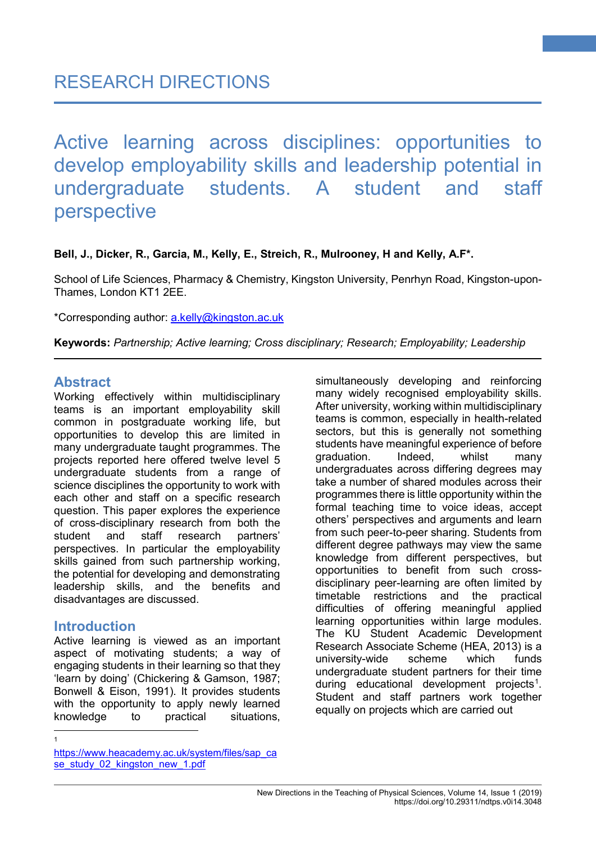Active learning across disciplines: opportunities to develop employability skills and leadership potential in undergraduate students. A student and staff perspective

#### **Bell, J., Dicker, R., Garcia, M., Kelly, E., Streich, R., Mulrooney, H and Kelly, A.F\*.**

School of Life Sciences, Pharmacy & Chemistry, Kingston University, Penrhyn Road, Kingston-upon-Thames, London KT1 2EE.

\*Corresponding author: [a.kelly@kingston.ac.uk](mailto:a.kelly@kingston.ac.uk)

**Keywords:** *Partnership; Active learning; Cross disciplinary; Research; Employability; Leadership*

## **Abstract**

Working effectively within multidisciplinary teams is an important employability skill common in postgraduate working life, but opportunities to develop this are limited in many undergraduate taught programmes. The projects reported here offered twelve level 5 undergraduate students from a range of science disciplines the opportunity to work with each other and staff on a specific research question. This paper explores the experience of cross-disciplinary research from both the student and staff research partners' perspectives. In particular the employability skills gained from such partnership working, the potential for developing and demonstrating leadership skills, and the benefits and disadvantages are discussed.

## **Introduction**

Active learning is viewed as an important aspect of motivating students; a way of engaging students in their learning so that they 'learn by doing' (Chickering & Gamson, 1987; Bonwell & Eison, 1991). It provides students with the opportunity to apply newly learned knowledge to practical situations, simultaneously developing and reinforcing many widely recognised employability skills. After university, working within multidisciplinary teams is common, especially in health-related sectors, but this is generally not something students have meaningful experience of before graduation. Indeed, whilst many undergraduates across differing degrees may take a number of shared modules across their programmes there is little opportunity within the formal teaching time to voice ideas, accept others' perspectives and arguments and learn from such peer-to-peer sharing. Students from different degree pathways may view the same knowledge from different perspectives, but opportunities to benefit from such crossdisciplinary peer-learning are often limited by timetable restrictions and the practical difficulties of offering meaningful applied learning opportunities within large modules. The KU Student Academic Development Research Associate Scheme (HEA, 2013) is a university-wide scheme which funds undergraduate student partners for their time during educational development projects<sup>[1](#page-0-0)</sup>. Student and staff partners work together equally on projects which are carried out

 $\frac{1}{1}$ 

<span id="page-0-0"></span>https://www.heacademy.ac.uk/system/files/sap\_ca se\_study\_02\_kingston\_new\_1.pdf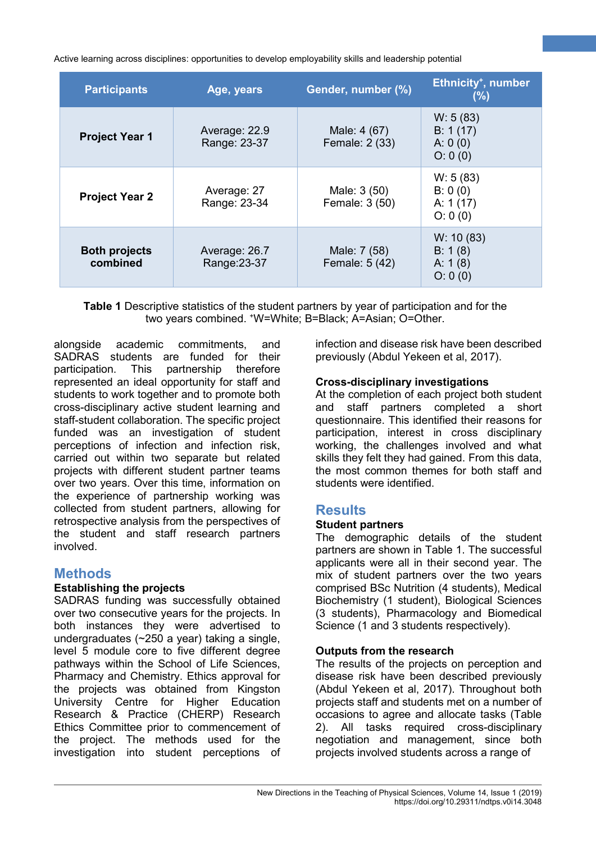| <b>Participants</b>                                               | Age, years                    | Gender, number (%)             | Ethnicity <sup>+</sup> , number<br>(%)       |
|-------------------------------------------------------------------|-------------------------------|--------------------------------|----------------------------------------------|
| <b>Project Year 1</b>                                             | Average: 22.9<br>Range: 23-37 | Male: 4 (67)<br>Female: 2 (33) | W: 5(83)<br>B: 1(17)<br>A: 0(0)<br>O: 0(0)   |
| <b>Project Year 2</b>                                             | Average: 27<br>Range: 23-34   | Male: 3 (50)<br>Female: 3 (50) | W: 5(83)<br>B: 0(0)<br>A: $1(17)$<br>O: 0(0) |
| <b>Both projects</b><br>Average: 26.7<br>combined<br>Range: 23-37 |                               | Male: 7 (58)<br>Female: 5 (42) | W: 10(83)<br>B: 1(8)<br>A: $1(8)$<br>O: 0(0) |

**Table 1** Descriptive statistics of the student partners by year of participation and for the two years combined. <sup>+</sup>W=White; B=Black; A=Asian; O=Other.

alongside academic commitments, and SADRAS students are funded for their participation. This partnership therefore represented an ideal opportunity for staff and students to work together and to promote both cross-disciplinary active student learning and staff-student collaboration. The specific project funded was an investigation of student perceptions of infection and infection risk, carried out within two separate but related projects with different student partner teams over two years. Over this time, information on the experience of partnership working was collected from student partners, allowing for retrospective analysis from the perspectives of the student and staff research partners involved.

# **Methods**

## **Establishing the projects**

SADRAS funding was successfully obtained over two consecutive years for the projects. In both instances they were advertised to undergraduates (~250 a year) taking a single, level 5 module core to five different degree pathways within the School of Life Sciences, Pharmacy and Chemistry. Ethics approval for the projects was obtained from Kingston University Centre for Higher Education Research & Practice (CHERP) Research Ethics Committee prior to commencement of the project. The methods used for the investigation into student perceptions of

infection and disease risk have been described previously (Abdul Yekeen et al, 2017).

**2**

#### **Cross-disciplinary investigations**

At the completion of each project both student and staff partners completed a short questionnaire. This identified their reasons for participation, interest in cross disciplinary working, the challenges involved and what skills they felt they had gained. From this data, the most common themes for both staff and students were identified.

## **Results**

## **Student partners**

The demographic details of the student partners are shown in Table 1. The successful applicants were all in their second year. The mix of student partners over the two years comprised BSc Nutrition (4 students), Medical Biochemistry (1 student), Biological Sciences (3 students), Pharmacology and Biomedical Science (1 and 3 students respectively).

## **Outputs from the research**

The results of the projects on perception and disease risk have been described previously (Abdul Yekeen et al, 2017). Throughout both projects staff and students met on a number of occasions to agree and allocate tasks (Table 2). All tasks required cross-disciplinary negotiation and management, since both projects involved students across a range of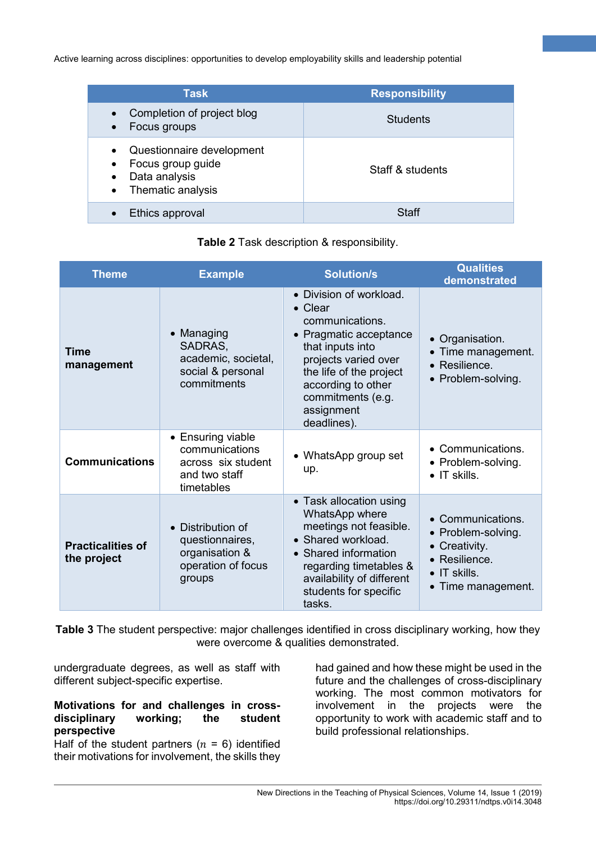| Task                                                                                                                                     | <b>Responsibility</b> |
|------------------------------------------------------------------------------------------------------------------------------------------|-----------------------|
| Completion of project blog<br>$\bullet$<br>Focus groups<br>$\bullet$                                                                     | <b>Students</b>       |
| Questionnaire development<br>$\bullet$<br>Focus group guide<br>$\bullet$<br>Data analysis<br>$\bullet$<br>Thematic analysis<br>$\bullet$ | Staff & students      |
| Ethics approval<br>$\bullet$                                                                                                             | Staff                 |

|  |  |  |  | Table 2 Task description & responsibility. |
|--|--|--|--|--------------------------------------------|
|--|--|--|--|--------------------------------------------|

| <b>Theme</b>                            | <b>Example</b>                                                                                    | <b>Solution/s</b>                                                                                                                                                                                                              | <b>Qualities</b><br>demonstrated                                                                                      |
|-----------------------------------------|---------------------------------------------------------------------------------------------------|--------------------------------------------------------------------------------------------------------------------------------------------------------------------------------------------------------------------------------|-----------------------------------------------------------------------------------------------------------------------|
| <b>Time</b><br>management               | • Managing<br>SADRAS,<br>academic, societal,<br>social & personal<br>commitments                  | • Division of workload.<br>• Clear<br>communications.<br>• Pragmatic acceptance<br>that inputs into<br>projects varied over<br>the life of the project<br>according to other<br>commitments (e.g.<br>assignment<br>deadlines). | • Organisation.<br>• Time management.<br>• Resilience.<br>• Problem-solving.                                          |
| <b>Communications</b>                   | • Ensuring viable<br>communications<br>across six student<br>and two staff<br>timetables          | • WhatsApp group set<br>up.                                                                                                                                                                                                    | • Communications.<br>• Problem-solving.<br>$\bullet$ IT skills.                                                       |
| <b>Practicalities of</b><br>the project | Distribution of<br>$\bullet$<br>questionnaires,<br>organisation &<br>operation of focus<br>groups | • Task allocation using<br>WhatsApp where<br>meetings not feasible.<br>• Shared workload.<br>Shared information<br>$\bullet$<br>regarding timetables &<br>availability of different<br>students for specific<br>tasks.         | • Communications.<br>• Problem-solving.<br>Creativity.<br>• Resilience.<br>$\bullet$ IT skills.<br>• Time management. |

**Table 3** The student perspective: major challenges identified in cross disciplinary working, how they were overcome & qualities demonstrated.

undergraduate degrees, as well as staff with different subject-specific expertise.

#### **Motivations for and challenges in cross**disciplinary **perspective**

Half of the student partners  $(n = 6)$  identified their motivations for involvement, the skills they

had gained and how these might be used in the future and the challenges of cross-disciplinary working. The most common motivators for involvement in the projects were the opportunity to work with academic staff and to build professional relationships.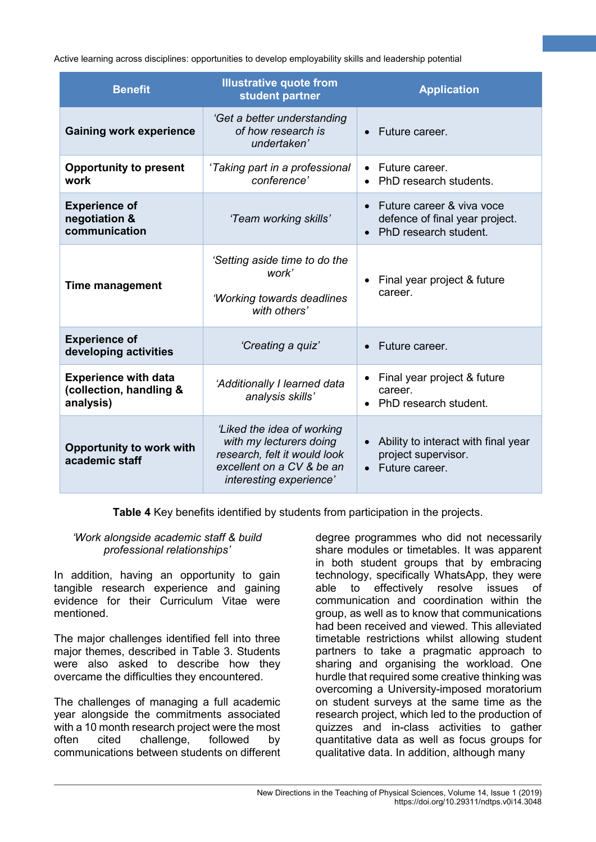| <b>Benefit</b>                                                                                                                                                                                     | <b>Illustrative quote from</b><br>student partner                                    | <b>Application</b>                                                                                |  |
|----------------------------------------------------------------------------------------------------------------------------------------------------------------------------------------------------|--------------------------------------------------------------------------------------|---------------------------------------------------------------------------------------------------|--|
| <b>Gaining work experience</b>                                                                                                                                                                     | 'Get a better understanding<br>of how research is<br>undertaken'                     | Future career.                                                                                    |  |
| <b>Opportunity to present</b><br>work                                                                                                                                                              | 'Taking part in a professional<br>conference'                                        | Future career.<br>PhD research students.                                                          |  |
| <b>Experience of</b><br>negotiation &<br>communication                                                                                                                                             | 'Team working skills'                                                                | Future career & viva voce<br>$\bullet$<br>defence of final year project.<br>PhD research student. |  |
| <b>Time management</b>                                                                                                                                                                             | 'Setting aside time to do the<br>work'<br>'Working towards deadlines<br>with others' | Final year project & future<br>career.                                                            |  |
| <b>Experience of</b><br>'Creating a quiz'<br>developing activities                                                                                                                                 |                                                                                      | Future career.                                                                                    |  |
| <b>Experience with data</b><br>'Additionally I learned data<br>(collection, handling &<br>analysis skills'<br>analysis)                                                                            |                                                                                      | Final year project & future<br>career.<br>PhD research student.                                   |  |
| 'Liked the idea of working<br>with my lecturers doing<br><b>Opportunity to work with</b><br>research, felt it would look<br>academic staff<br>excellent on a CV & be an<br>interesting experience' |                                                                                      | Ability to interact with final year<br>project supervisor.<br>• Future career.                    |  |

**Table 4** Key benefits identified by students from participation in the projects.

#### *'Work alongside academic staff & build professional relationships'*

In addition, having an opportunity to gain tangible research experience and gaining evidence for their Curriculum Vitae were mentioned.

The major challenges identified fell into three major themes, described in Table 3. Students were also asked to describe how they overcame the difficulties they encountered.

The challenges of managing a full academic year alongside the commitments associated with a 10 month research project were the most often cited challenge, followed by communications between students on different

degree programmes who did not necessarily share modules or timetables. It was apparent in both student groups that by embracing technology, specifically WhatsApp, they were able to effectively resolve issues of communication and coordination within the group, as well as to know that communications had been received and viewed. This alleviated timetable restrictions whilst allowing student partners to take a pragmatic approach to sharing and organising the workload. One hurdle that required some creative thinking was overcoming a University-imposed moratorium on student surveys at the same time as the research project, which led to the production of quizzes and in-class activities to gather quantitative data as well as focus groups for qualitative data. In addition, although many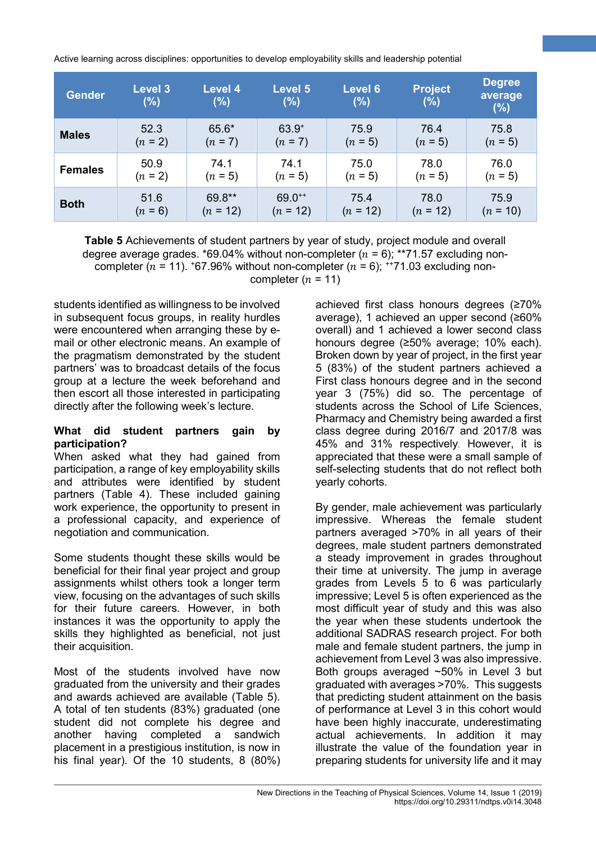| <b>Gender</b>  | <b>Level 3</b><br>(%) | <b>Level 4</b><br>(%) | <b>Level 5</b><br>$(\%)$ | Level 6<br>(%) | <b>Project</b><br>(%) | <b>Degree</b><br>average<br>(%) |
|----------------|-----------------------|-----------------------|--------------------------|----------------|-----------------------|---------------------------------|
| <b>Males</b>   | 52.3                  | 65.6*                 | $63.9^{+}$               | 75.9           | 76.4                  | 75.8                            |
|                | $(n = 2)$             | $(n = 7)$             | $(n = 7)$                | $(n = 5)$      | $(n = 5)$             | $(n = 5)$                       |
| <b>Females</b> | 50.9                  | 74.1                  | 74.1                     | 75.0           | 78.0                  | 76.0                            |
|                | $(n = 2)$             | $(n = 5)$             | $(n = 5)$                | $(n = 5)$      | $(n = 5)$             | $(n = 5)$                       |
| <b>Both</b>    | 51.6                  | 69.8**                | $69.0^{++}$              | 75.4           | 78.0                  | 75.9                            |
|                | $(n = 6)$             | $(n = 12)$            | $(n = 12)$               | $(n = 12)$     | $(n = 12)$            | $(n = 10)$                      |

**Table 5** Achievements of student partners by year of study, project module and overall degree average grades. \*69.04% without non-completer ( $n = 6$ ); \*\*71.57 excluding noncompleter ( $n = 11$ ). +67.96% without non-completer ( $n = 6$ ); ++71.03 excluding noncompleter  $(n = 11)$ 

students identified as willingness to be involved in subsequent focus groups, in reality hurdles were encountered when arranging these by email or other electronic means. An example of the pragmatism demonstrated by the student partners' was to broadcast details of the focus group at a lecture the week beforehand and then escort all those interested in participating directly after the following week's lecture.

#### **What did student partners gain by participation?**

When asked what they had gained from participation, a range of key employability skills and attributes were identified by student partners (Table 4). These included gaining work experience, the opportunity to present in a professional capacity, and experience of negotiation and communication.

Some students thought these skills would be beneficial for their final year project and group assignments whilst others took a longer term view, focusing on the advantages of such skills for their future careers. However, in both instances it was the opportunity to apply the skills they highlighted as beneficial, not just their acquisition.

Most of the students involved have now graduated from the university and their grades and awards achieved are available (Table 5). A total of ten students (83%) graduated (one student did not complete his degree and another having completed a sandwich placement in a prestigious institution, is now in his final year). Of the 10 students, 8 (80%)

achieved first class honours degrees (≥70% average), 1 achieved an upper second (≥60% overall) and 1 achieved a lower second class honours degree (≥50% average; 10% each). Broken down by year of project, in the first year 5 (83%) of the student partners achieved a First class honours degree and in the second year 3 (75%) did so. The percentage of students across the School of Life Sciences, Pharmacy and Chemistry being awarded a first class degree during 2016/7 and 2017/8 was 45% and 31% respectively. However, it is appreciated that these were a small sample of self-selecting students that do not reflect both yearly cohorts.

**5**

By gender, male achievement was particularly impressive. Whereas the female student partners averaged >70% in all years of their degrees, male student partners demonstrated a steady improvement in grades throughout their time at university. The jump in average grades from Levels 5 to 6 was particularly impressive; Level 5 is often experienced as the most difficult year of study and this was also the year when these students undertook the additional SADRAS research project. For both male and female student partners, the jump in achievement from Level 3 was also impressive. Both groups averaged ~50% in Level 3 but graduated with averages >70%. This suggests that predicting student attainment on the basis of performance at Level 3 in this cohort would have been highly inaccurate, underestimating actual achievements. In addition it may illustrate the value of the foundation year in preparing students for university life and it may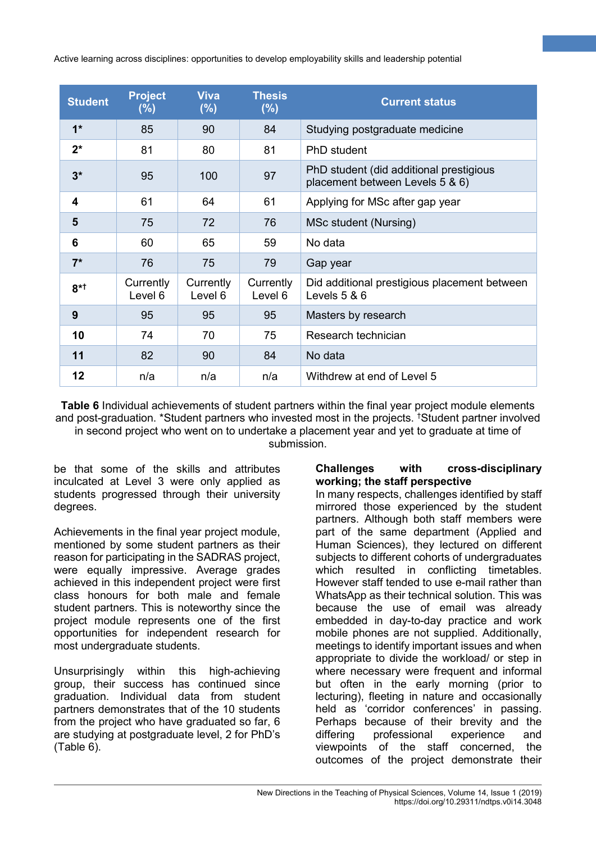| <b>Student</b>          | <b>Project</b><br>(%) | <b>Viva</b><br>(%)   | <b>Thesis</b><br>(%) | <b>Current status</b>                                                      |
|-------------------------|-----------------------|----------------------|----------------------|----------------------------------------------------------------------------|
| $1*$                    | 85                    | 90                   | 84                   | Studying postgraduate medicine                                             |
| $2^*$                   | 81                    | 80                   | 81                   | PhD student                                                                |
| $3*$                    | 95                    | 100                  | 97                   | PhD student (did additional prestigious<br>placement between Levels 5 & 6) |
| $\overline{\mathbf{4}}$ | 61                    | 64                   | 61                   | Applying for MSc after gap year                                            |
| 5                       | 75                    | 72                   | 76                   | MSc student (Nursing)                                                      |
| 6                       | 60                    | 65                   | 59                   | No data                                                                    |
| $7^*$                   | 76                    | 75                   | 79                   | Gap year                                                                   |
| $8*1$                   | Currently<br>Level 6  | Currently<br>Level 6 | Currently<br>Level 6 | Did additional prestigious placement between<br>Levels $5 & 6$             |
| 9                       | 95                    | 95                   | 95                   | Masters by research                                                        |
| 10                      | 74                    | 70                   | 75                   | Research technician                                                        |
| 11                      | 82                    | 90                   | 84                   | No data                                                                    |
| 12                      | n/a                   | n/a                  | n/a                  | Withdrew at end of Level 5                                                 |

**Table 6** Individual achievements of student partners within the final year project module elements and post-graduation. \*Student partners who invested most in the projects. † Student partner involved in second project who went on to undertake a placement year and yet to graduate at time of submission.

be that some of the skills and attributes inculcated at Level 3 were only applied as students progressed through their university degrees.

Achievements in the final year project module, mentioned by some student partners as their reason for participating in the SADRAS project, were equally impressive. Average grades achieved in this independent project were first class honours for both male and female student partners. This is noteworthy since the project module represents one of the first opportunities for independent research for most undergraduate students.

Unsurprisingly within this high-achieving group, their success has continued since graduation. Individual data from student partners demonstrates that of the 10 students from the project who have graduated so far, 6 are studying at postgraduate level, 2 for PhD's (Table 6).

#### **Challenges with cross-disciplinary working; the staff perspective**

**6**

In many respects, challenges identified by staff mirrored those experienced by the student partners. Although both staff members were part of the same department (Applied and Human Sciences), they lectured on different subjects to different cohorts of undergraduates which resulted in conflicting timetables. However staff tended to use e-mail rather than WhatsApp as their technical solution. This was because the use of email was already embedded in day-to-day practice and work mobile phones are not supplied. Additionally, meetings to identify important issues and when appropriate to divide the workload/ or step in where necessary were frequent and informal but often in the early morning (prior to lecturing), fleeting in nature and occasionally held as 'corridor conferences' in passing. Perhaps because of their brevity and the differing professional experience and viewpoints of the staff concerned, the outcomes of the project demonstrate their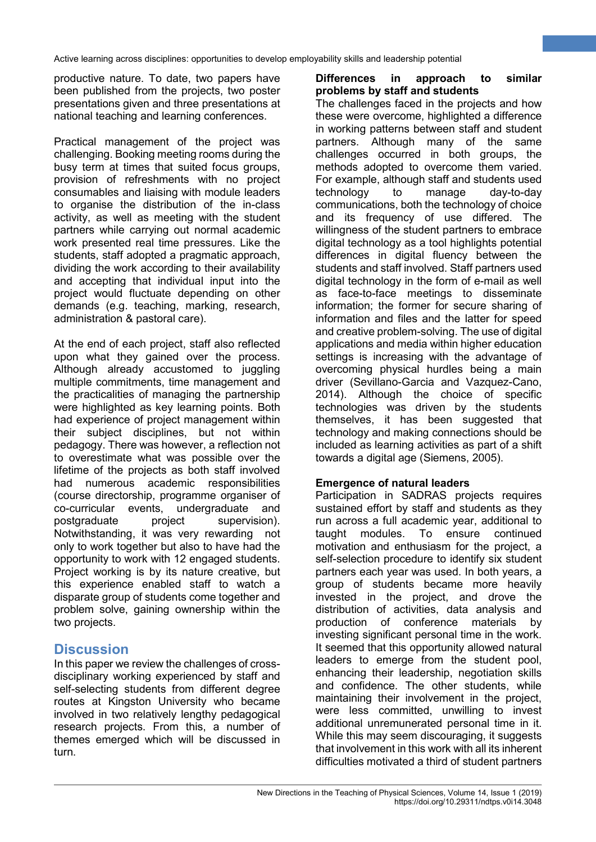productive nature. To date, two papers have been published from the projects, two poster presentations given and three presentations at national teaching and learning conferences.

Practical management of the project was challenging. Booking meeting rooms during the busy term at times that suited focus groups, provision of refreshments with no project consumables and liaising with module leaders to organise the distribution of the in-class activity, as well as meeting with the student partners while carrying out normal academic work presented real time pressures. Like the students, staff adopted a pragmatic approach, dividing the work according to their availability and accepting that individual input into the project would fluctuate depending on other demands (e.g. teaching, marking, research, administration & pastoral care).

At the end of each project, staff also reflected upon what they gained over the process. Although already accustomed to juggling multiple commitments, time management and the practicalities of managing the partnership were highlighted as key learning points. Both had experience of project management within their subject disciplines, but not within pedagogy. There was however, a reflection not to overestimate what was possible over the lifetime of the projects as both staff involved had numerous academic responsibilities (course directorship, programme organiser of co-curricular events, undergraduate and postgraduate project supervision). Notwithstanding, it was very rewarding not only to work together but also to have had the opportunity to work with 12 engaged students. Project working is by its nature creative, but this experience enabled staff to watch a disparate group of students come together and problem solve, gaining ownership within the two projects.

# **Discussion**

In this paper we review the challenges of crossdisciplinary working experienced by staff and self-selecting students from different degree routes at Kingston University who became involved in two relatively lengthy pedagogical research projects. From this, a number of themes emerged which will be discussed in turn.

## **Differences in approach to similar problems by staff and students**

**7**

The challenges faced in the projects and how these were overcome, highlighted a difference in working patterns between staff and student partners. Although many of the same challenges occurred in both groups, the methods adopted to overcome them varied. For example, although staff and students used technology to manage day-to-day communications, both the technology of choice and its frequency of use differed. The willingness of the student partners to embrace digital technology as a tool highlights potential differences in digital fluency between the students and staff involved. Staff partners used digital technology in the form of e-mail as well as face-to-face meetings to disseminate information; the former for secure sharing of information and files and the latter for speed and creative problem-solving. The use of digital applications and media within higher education settings is increasing with the advantage of overcoming physical hurdles being a main driver (Sevillano-Garcia and Vazquez-Cano, 2014). Although the choice of specific technologies was driven by the students themselves, it has been suggested that technology and making connections should be included as learning activities as part of a shift towards a digital age (Siemens, 2005).

## **Emergence of natural leaders**

Participation in SADRAS projects requires sustained effort by staff and students as they run across a full academic year, additional to taught modules. To ensure continued motivation and enthusiasm for the project, a self-selection procedure to identify six student partners each year was used. In both years, a group of students became more heavily invested in the project, and drove the distribution of activities, data analysis and production of conference materials by investing significant personal time in the work. It seemed that this opportunity allowed natural leaders to emerge from the student pool, enhancing their leadership, negotiation skills and confidence. The other students, while maintaining their involvement in the project, were less committed, unwilling to invest additional unremunerated personal time in it. While this may seem discouraging, it suggests that involvement in this work with all its inherent difficulties motivated a third of student partners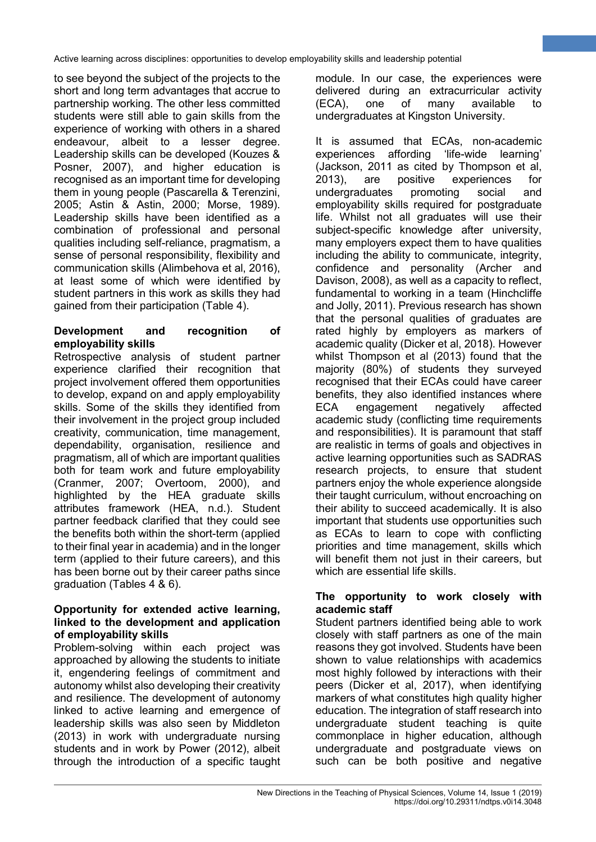to see beyond the subject of the projects to the short and long term advantages that accrue to partnership working. The other less committed students were still able to gain skills from the experience of working with others in a shared endeavour, albeit to a lesser degree. Leadership skills can be developed (Kouzes & Posner, 2007), and higher education is recognised as an important time for developing them in young people (Pascarella & Terenzini, 2005; Astin & Astin, 2000; Morse, 1989). Leadership skills have been identified as a combination of professional and personal qualities including self-reliance, pragmatism, a sense of personal responsibility, flexibility and communication skills (Alimbehova et al, 2016), at least some of which were identified by student partners in this work as skills they had gained from their participation (Table 4).

#### **Development and recognition of employability skills**

Retrospective analysis of student partner experience clarified their recognition that project involvement offered them opportunities to develop, expand on and apply employability skills. Some of the skills they identified from their involvement in the project group included creativity, communication, time management, dependability, organisation, resilience and pragmatism, all of which are important qualities both for team work and future employability (Cranmer, 2007; Overtoom, 2000), and highlighted by the HEA graduate skills attributes framework (HEA, n.d.). Student partner feedback clarified that they could see the benefits both within the short-term (applied to their final year in academia) and in the longer term (applied to their future careers), and this has been borne out by their career paths since graduation (Tables 4 & 6).

#### **Opportunity for extended active learning, linked to the development and application of employability skills**

Problem-solving within each project was approached by allowing the students to initiate it, engendering feelings of commitment and autonomy whilst also developing their creativity and resilience. The development of autonomy linked to active learning and emergence of leadership skills was also seen by Middleton (2013) in work with undergraduate nursing students and in work by Power (2012), albeit through the introduction of a specific taught

module. In our case, the experiences were delivered during an extracurricular activity (ECA), one of many available to undergraduates at Kingston University.

**8**

It is assumed that ECAs, non-academic experiences affording 'life-wide learning' (Jackson, 2011 as cited by Thompson et al, 2013), are positive experiences for undergraduates promoting social and employability skills required for postgraduate life. Whilst not all graduates will use their subject-specific knowledge after university, many employers expect them to have qualities including the ability to communicate, integrity, confidence and personality (Archer and Davison, 2008), as well as a capacity to reflect, fundamental to working in a team (Hinchcliffe and Jolly, 2011). Previous research has shown that the personal qualities of graduates are rated highly by employers as markers of academic quality (Dicker et al, 2018). However whilst Thompson et al (2013) found that the majority (80%) of students they surveyed recognised that their ECAs could have career benefits, they also identified instances where ECA engagement negatively affected academic study (conflicting time requirements and responsibilities). It is paramount that staff are realistic in terms of goals and objectives in active learning opportunities such as SADRAS research projects, to ensure that student partners enjoy the whole experience alongside their taught curriculum, without encroaching on their ability to succeed academically. It is also important that students use opportunities such as ECAs to learn to cope with conflicting priorities and time management, skills which will benefit them not just in their careers, but which are essential life skills.

## **The opportunity to work closely with academic staff**

Student partners identified being able to work closely with staff partners as one of the main reasons they got involved. Students have been shown to value relationships with academics most highly followed by interactions with their peers (Dicker et al, 2017), when identifying markers of what constitutes high quality higher education. The integration of staff research into undergraduate student teaching is quite commonplace in higher education, although undergraduate and postgraduate views on such can be both positive and negative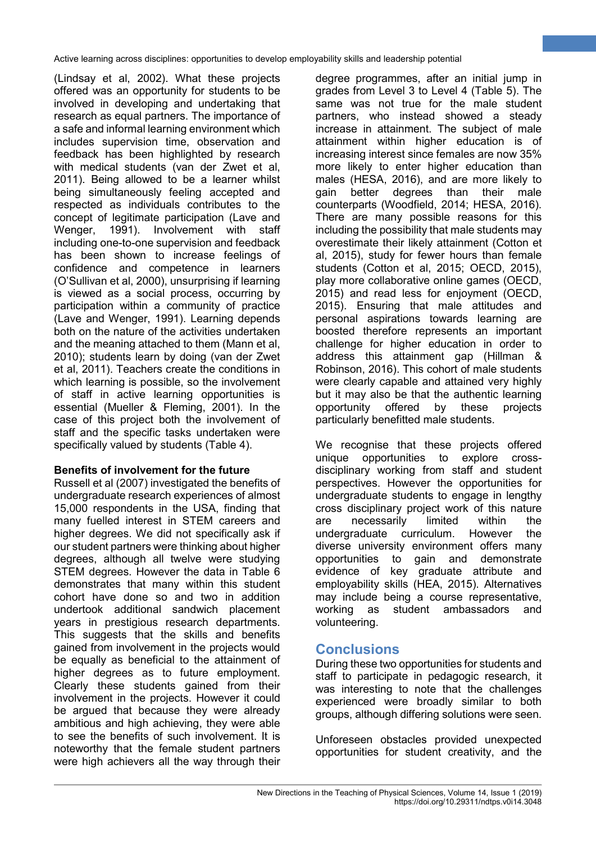(Lindsay et al, 2002). What these projects offered was an opportunity for students to be involved in developing and undertaking that research as equal partners. The importance of a safe and informal learning environment which includes supervision time, observation and feedback has been highlighted by research with medical students (van der Zwet et al, 2011). Being allowed to be a learner whilst being simultaneously feeling accepted and respected as individuals contributes to the concept of legitimate participation (Lave and Wenger, 1991). Involvement with staff including one-to-one supervision and feedback has been shown to increase feelings of confidence and competence in learners (O'Sullivan et al, 2000), unsurprising if learning is viewed as a social process, occurring by participation within a community of practice (Lave and Wenger, 1991). Learning depends both on the nature of the activities undertaken and the meaning attached to them (Mann et al, 2010); students learn by doing (van der Zwet et al, 2011). Teachers create the conditions in which learning is possible, so the involvement of staff in active learning opportunities is essential (Mueller & Fleming, 2001). In the case of this project both the involvement of staff and the specific tasks undertaken were specifically valued by students (Table 4).

## **Benefits of involvement for the future**

Russell et al (2007) investigated the benefits of undergraduate research experiences of almost 15,000 respondents in the USA, finding that many fuelled interest in STEM careers and higher degrees. We did not specifically ask if our student partners were thinking about higher degrees, although all twelve were studying STEM degrees. However the data in Table 6 demonstrates that many within this student cohort have done so and two in addition undertook additional sandwich placement years in prestigious research departments. This suggests that the skills and benefits gained from involvement in the projects would be equally as beneficial to the attainment of higher degrees as to future employment. Clearly these students gained from their involvement in the projects. However it could be argued that because they were already ambitious and high achieving, they were able to see the benefits of such involvement. It is noteworthy that the female student partners were high achievers all the way through their

degree programmes, after an initial jump in grades from Level 3 to Level 4 (Table 5). The same was not true for the male student partners, who instead showed a steady increase in attainment. The subject of male attainment within higher education is of increasing interest since females are now 35% more likely to enter higher education than males (HESA, 2016), and are more likely to gain better degrees than their male counterparts (Woodfield, 2014; HESA, 2016). There are many possible reasons for this including the possibility that male students may overestimate their likely attainment (Cotton et al, 2015), study for fewer hours than female students (Cotton et al, 2015; OECD, 2015), play more collaborative online games (OECD, 2015) and read less for enjoyment (OECD, 2015). Ensuring that male attitudes and personal aspirations towards learning are boosted therefore represents an important challenge for higher education in order to address this attainment gap (Hillman & Robinson, 2016). This cohort of male students were clearly capable and attained very highly but it may also be that the authentic learning opportunity offered by these projects particularly benefitted male students.

**9**

We recognise that these projects offered unique opportunities to explore crossdisciplinary working from staff and student perspectives. However the opportunities for undergraduate students to engage in lengthy cross disciplinary project work of this nature are necessarily limited within the undergraduate curriculum. However the diverse university environment offers many opportunities to gain and demonstrate evidence of key graduate attribute and employability skills (HEA, 2015). Alternatives may include being a course representative, working as student ambassadors and volunteering.

# **Conclusions**

During these two opportunities for students and staff to participate in pedagogic research, it was interesting to note that the challenges experienced were broadly similar to both groups, although differing solutions were seen.

Unforeseen obstacles provided unexpected opportunities for student creativity, and the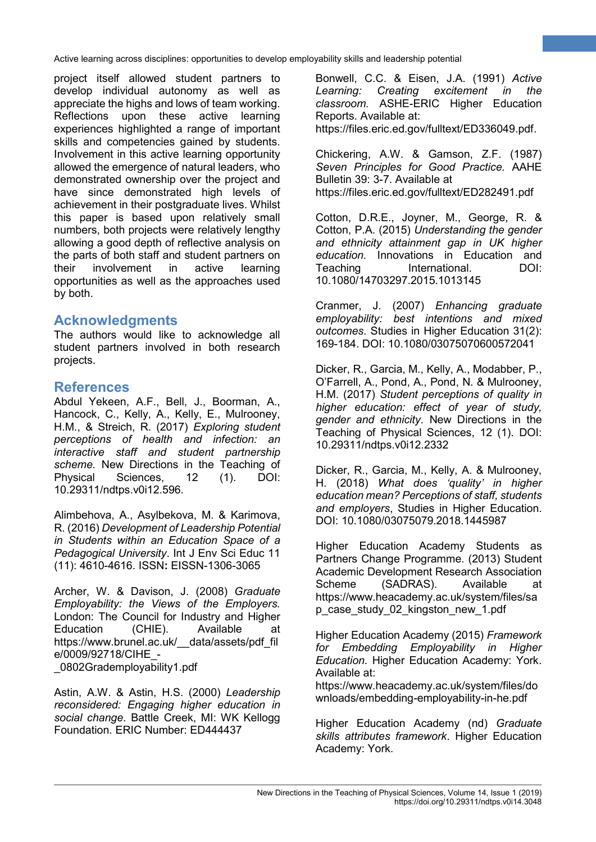project itself allowed student partners to develop individual autonomy as well as appreciate the highs and lows of team working. Reflections upon these active learning experiences highlighted a range of important skills and competencies gained by students. Involvement in this active learning opportunity allowed the emergence of natural leaders, who demonstrated ownership over the project and have since demonstrated high levels of achievement in their postgraduate lives. Whilst this paper is based upon relatively small numbers, both projects were relatively lengthy allowing a good depth of reflective analysis on the parts of both staff and student partners on their involvement in active learning opportunities as well as the approaches used by both.

# **Acknowledgments**

The authors would like to acknowledge all student partners involved in both research projects.

# **References**

Abdul Yekeen, A.F., Bell, J., Boorman, A., Hancock, C., Kelly, A., Kelly, E., Mulrooney, H.M., & Streich, R. (2017) *Exploring student perceptions of health and infection: an interactive staff and student partnership scheme.* New Directions in the Teaching of Physical Sciences, 12 (1). DOI: 10.29311/ndtps.v0i12.596.

Alimbehova, A., Asylbekova, M. & Karimova, R. (2016) *Development of Leadership Potential in Students within an Education Space of a Pedagogical University*. Int J Env Sci Educ 11 (11): 4610-4616. ISSN**:** EISSN-1306-3065

Archer, W. & Davison, J. (2008) *Graduate Employability: the Views of the Employers.*  London: The Council for Industry and Higher<br>Education (CHIE). Available at Education (CHIE). Available at https://www.brunel.ac.uk/\_\_data/assets/pdf\_fil e/0009/92718/CIHE\_- \_0802Grademployability1.pdf

Astin, A.W. & Astin, H.S. (2000) *Leadership reconsidered: Engaging higher education in social change*. Battle Creek, MI: WK Kellogg Foundation. ERIC Number: ED444437

Bonwell, C.C. & Eisen, J.A. (1991) *Active Learning: Creating excitement in the classroom.* ASHE-ERIC Higher Education Reports. Available at:

**10**

https://files.eric.ed.gov/fulltext/ED336049.pdf.

Chickering, A.W. & Gamson, Z.F. (1987) *Seven Principles for Good Practice.* AAHE Bulletin 39: 3-7. Available at https://files.eric.ed.gov/fulltext/ED282491.pdf

Cotton, D.R.E., Joyner, M., George, R. & Cotton, P.A. (2015) *Understanding the gender and ethnicity attainment gap in UK higher education.* Innovations in Education and Teaching International. DOI: 10.1080/14703297.2015.1013145

Cranmer, J. (2007) *Enhancing graduate employability: best intentions and mixed outcomes*. Studies in Higher Education 31(2): 169-184. DOI: 10.1080/03075070600572041

Dicker, R., Garcia, M., Kelly, A., Modabber, P., O'Farrell, A., Pond, A., Pond, N. & Mulrooney, H.M. (2017) *Student perceptions of quality in higher education: effect of year of study, gender and ethnicity*. New Directions in the Teaching of Physical Sciences, 12 (1). DOI: 10.29311/ndtps.v0i12.2332

Dicker, R., Garcia, M., Kelly, A. & Mulrooney, H. (2018) *What does 'quality' in higher education mean? Perceptions of staff, students and employers*, Studies in Higher Education. DOI: 10.1080/03075079.2018.1445987

Higher Education Academy Students as Partners Change Programme. (2013) Student Academic Development Research Association<br>Scheme (SADRAS). Available at (SADRAS). Available at https://www.heacademy.ac.uk/system/files/sa p\_case\_study\_02\_kingston\_new\_1.pdf

Higher Education Academy (2015) *Framework for Embedding Employability in Higher Education.* Higher Education Academy: York. Available at:

https://www.heacademy.ac.uk/system/files/do wnloads/embedding-employability-in-he.pdf

Higher Education Academy (nd) *Graduate skills attributes framework*. Higher Education Academy: York.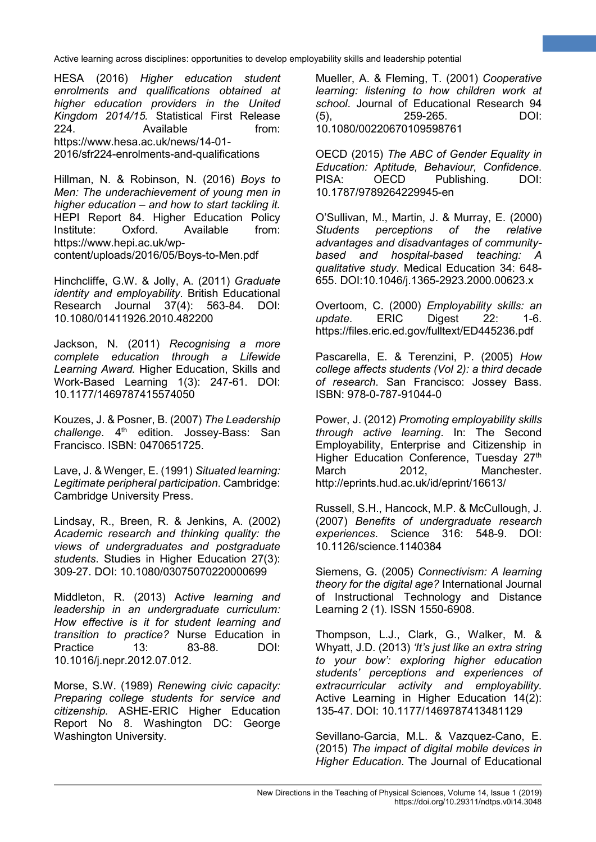HESA (2016) *Higher education student enrolments and qualifications obtained at higher education providers in the United Kingdom 2014/15.* Statistical First Release 224 Available **from:** https://www.hesa.ac.uk/news/14-01- 2016/sfr224-enrolments-and-qualifications

Hillman, N. & Robinson, N. (2016) *Boys to Men: The underachievement of young men in higher education – and how to start tackling it.* HEPI Report 84. Higher Education Policy Institute: Oxford. Available from: https://www.hepi.ac.uk/wpcontent/uploads/2016/05/Boys-to-Men.pdf

Hinchcliffe, G.W. & Jolly, A. (2011) *Graduate identity and employability*. British Educational Research Journal 37(4): 563-84. DOI: 10.1080/01411926.2010.482200

Jackson, N. (2011) *Recognising a more complete education through a Lifewide Learning Award.* Higher Education, Skills and Work-Based Learning 1(3): 247-61. DOI: 10.1177/1469787415574050

Kouzes, J. & Posner, B. (2007) *The Leadership challenge.* 4<sup>th</sup> edition. Jossey-Bass: San Francisco. ISBN: 0470651725.

Lave, J. & Wenger, E. (1991) *Situated learning: Legitimate peripheral participation*. Cambridge: Cambridge University Press.

Lindsay, R., Breen, R. & Jenkins, A. (2002) *Academic research and thinking quality: the views of undergraduates and postgraduate students*. Studies in Higher Education 27(3): 309-27. DOI: 10.1080/03075070220000699

Middleton, R. (2013) A*ctive learning and leadership in an undergraduate curriculum: How effective is it for student learning and transition to practice?* Nurse Education in Practice 13: 83-88. DOI: 10.1016/j.nepr.2012.07.012.

Morse, S.W. (1989) *Renewing civic capacity: Preparing college students for service and citizenship.* ASHE-ERIC Higher Education Report No 8. Washington DC: George Washington University.

Mueller, A. & Fleming, T. (2001) *Cooperative learning: listening to how children work at school*. Journal of Educational Research 94  $(5)$ , 259-265. 10.1080/00220670109598761

**11**

OECD (2015) *The ABC of Gender Equality in Education: Aptitude, Behaviour, Confidence*. PISA: OECD Publishing. DOI: 10.1787/9789264229945-en

O'Sullivan, M., Martin, J. & Murray, E. (2000) *Students perceptions of the relative advantages and disadvantages of communitybased and hospital-based teaching: A qualitative study*. Medical Education 34: 648- 655. DOI:10.1046/j.1365-2923.2000.00623.x

Overtoom, C. (2000) *Employability skills: an update*. ERIC Digest 22: 1-6. https://files.eric.ed.gov/fulltext/ED445236.pdf

Pascarella, E. & Terenzini, P. (2005) *How college affects students (Vol 2): a third decade of research*. San Francisco: Jossey Bass. ISBN: 978-0-787-91044-0

Power, J. (2012) *Promoting employability skills through active learning*. In: The Second Employability, Enterprise and Citizenship in Higher Education Conference, Tuesday 27<sup>th</sup> March 2012, Manchester. http://eprints.hud.ac.uk/id/eprint/16613/

Russell, S.H., Hancock, M.P. & McCullough, J. (2007) *Benefits of undergraduate research experiences*. Science 316: 548-9. DOI: 10.1126/science.1140384

Siemens, G. (2005) *Connectivism: A learning theory for the digital age?* International Journal of Instructional Technology and Distance Learning 2 (1). ISSN 1550-6908.

Thompson, L.J., Clark, G., Walker, M. & Whyatt, J.D. (2013) *'It's just like an extra string to your bow': exploring higher education students' perceptions and experiences of extracurricular activity and employability.*  Active Learning in Higher Education 14(2): 135-47. DOI: 10.1177/1469787413481129

Sevillano-Garcia, M.L. & Vazquez-Cano, E. (2015) *The impact of digital mobile devices in Higher Education*. The Journal of Educational